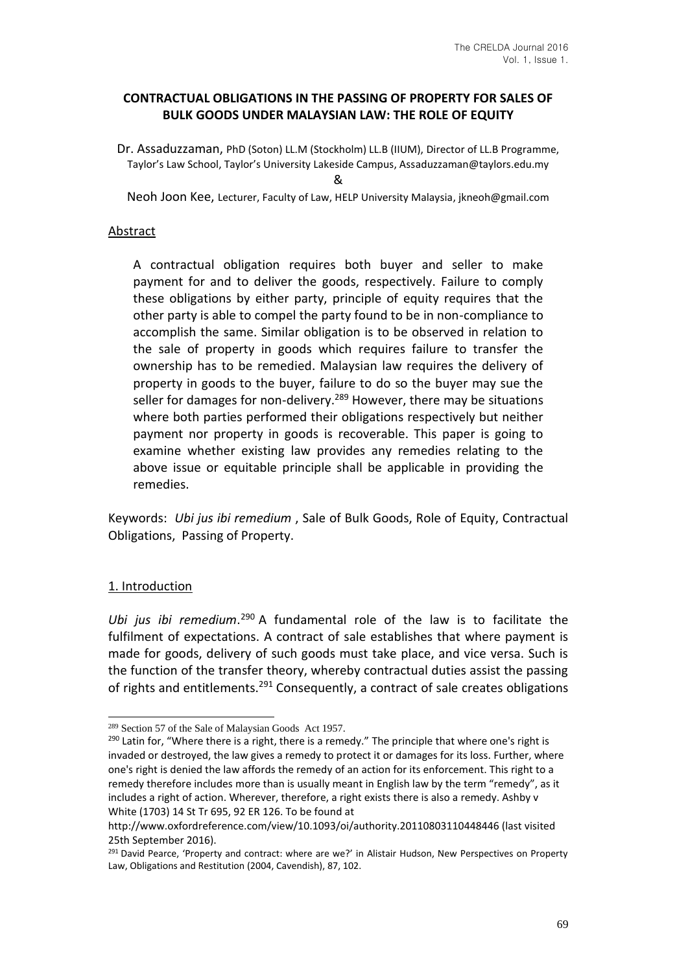### **CONTRACTUAL OBLIGATIONS IN THE PASSING OF PROPERTY FOR SALES OF BULK GOODS UNDER MALAYSIAN LAW: THE ROLE OF EQUITY**

Dr. Assaduzzaman, PhD (Soton) LL.M (Stockholm) LL.B (IIUM), Director of LL.B Programme, Taylor's Law School, Taylor's University Lakeside Campus, Assaduzzaman@taylors.edu.my &

Neoh Joon Kee, Lecturer, Faculty of Law, HELP University Malaysia, jkneoh@gmail.com

#### Abstract

A contractual obligation requires both buyer and seller to make payment for and to deliver the goods, respectively. Failure to comply these obligations by either party, principle of equity requires that the other party is able to compel the party found to be in non-compliance to accomplish the same. Similar obligation is to be observed in relation to the sale of property in goods which requires failure to transfer the ownership has to be remedied. Malaysian law requires the delivery of property in goods to the buyer, failure to do so the buyer may sue the seller for damages for non-delivery.<sup>289</sup> However, there may be situations where both parties performed their obligations respectively but neither payment nor property in goods is recoverable. This paper is going to examine whether existing law provides any remedies relating to the above issue or equitable principle shall be applicable in providing the remedies.

Keywords: *Ubi jus ibi remedium* , Sale of Bulk Goods, Role of Equity, Contractual Obligations, Passing of Property.

### 1. Introduction

Ubi jus ibi remedium.<sup>290</sup> A fundamental role of the law is to facilitate the fulfilment of expectations. A contract of sale establishes that where payment is made for goods, delivery of such goods must take place, and vice versa. Such is the function of the transfer theory, whereby contractual duties assist the passing of rights and entitlements.<sup>291</sup> Consequently, a contract of sale creates obligations

<sup>289</sup> Section 57 of the Sale of Malaysian Goods Act 1957.

<sup>&</sup>lt;sup>290</sup> Latin for, "Where there is a right, there is a remedy." The principle that where one's right is invaded or destroyed, the law gives a remedy to protect it or damages for its loss. Further, where one's right is denied the law affords the remedy of an action for its enforcement. This right to a remedy therefore includes more than is usually meant in English law by the term "remedy", as it includes a right of action. Wherever, therefore, a right exists there is also a remedy. Ashby v White (1703) 14 St Tr 695, 92 ER 126. To be found at

http://www.oxfordreference.com/view/10.1093/oi/authority.20110803110448446 (last visited 25th September 2016).

<sup>&</sup>lt;sup>291</sup> David Pearce, 'Property and contract: where are we?' in Alistair Hudson, New Perspectives on Property Law, Obligations and Restitution (2004, Cavendish), 87, 102.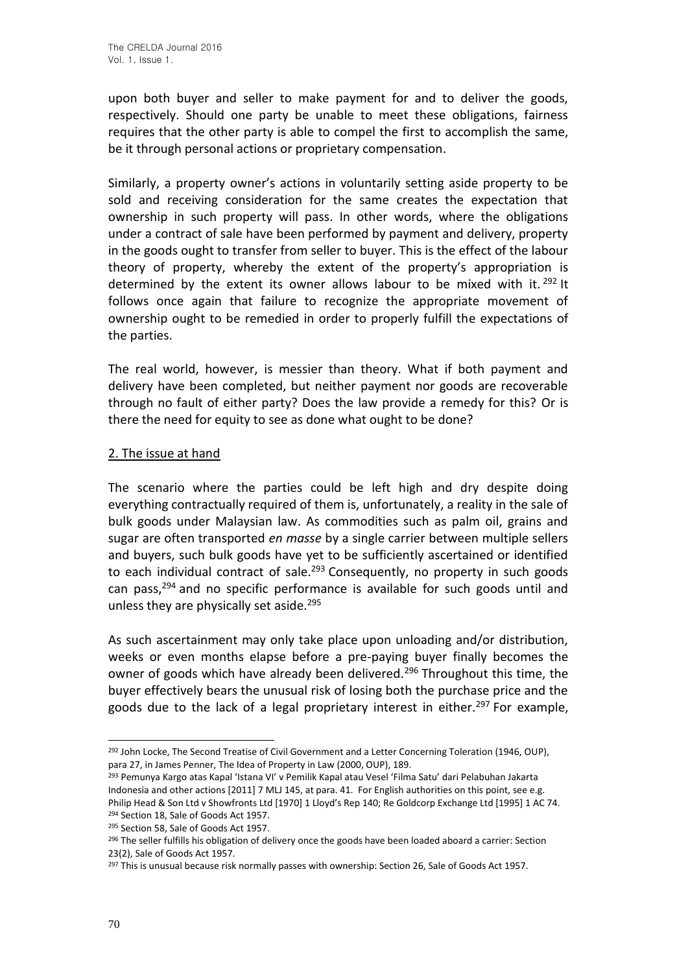upon both buyer and seller to make payment for and to deliver the goods, respectively. Should one party be unable to meet these obligations, fairness requires that the other party is able to compel the first to accomplish the same, be it through personal actions or proprietary compensation.

Similarly, a property owner's actions in voluntarily setting aside property to be sold and receiving consideration for the same creates the expectation that ownership in such property will pass. In other words, where the obligations under a contract of sale have been performed by payment and delivery, property in the goods ought to transfer from seller to buyer. This is the effect of the labour theory of property, whereby the extent of the property's appropriation is determined by the extent its owner allows labour to be mixed with it.  $292$  It follows once again that failure to recognize the appropriate movement of ownership ought to be remedied in order to properly fulfill the expectations of the parties.

The real world, however, is messier than theory. What if both payment and delivery have been completed, but neither payment nor goods are recoverable through no fault of either party? Does the law provide a remedy for this? Or is there the need for equity to see as done what ought to be done?

### 2. The issue at hand

The scenario where the parties could be left high and dry despite doing everything contractually required of them is, unfortunately, a reality in the sale of bulk goods under Malaysian law. As commodities such as palm oil, grains and sugar are often transported *en masse* by a single carrier between multiple sellers and buyers, such bulk goods have yet to be sufficiently ascertained or identified to each individual contract of sale. $293$  Consequently, no property in such goods can pass,<sup>294</sup> and no specific performance is available for such goods until and unless they are physically set aside.<sup>295</sup>

As such ascertainment may only take place upon unloading and/or distribution, weeks or even months elapse before a pre-paying buyer finally becomes the owner of goods which have already been delivered.<sup>296</sup> Throughout this time, the buyer effectively bears the unusual risk of losing both the purchase price and the goods due to the lack of a legal proprietary interest in either.<sup>297</sup> For example,

<sup>&</sup>lt;sup>292</sup> John Locke, The Second Treatise of Civil Government and a Letter Concerning Toleration (1946, OUP), para 27, in James Penner, The Idea of Property in Law (2000, OUP), 189.

<sup>293</sup> Pemunya Kargo atas Kapal 'Istana VI' v Pemilik Kapal atau Vesel 'Filma Satu' dari Pelabuhan Jakarta Indonesia and other actions [2011] 7 MLJ 145, at para. 41. For English authorities on this point, see e.g. Philip Head & Son Ltd v Showfronts Ltd [1970] 1 Lloyd's Rep 140; Re Goldcorp Exchange Ltd [1995] 1 AC 74.

<sup>&</sup>lt;sup>294</sup> Section 18, Sale of Goods Act 1957. <sup>295</sup> Section 58, Sale of Goods Act 1957.

<sup>&</sup>lt;sup>296</sup> The seller fulfills his obligation of delivery once the goods have been loaded aboard a carrier: Section 23(2), Sale of Goods Act 1957.

<sup>&</sup>lt;sup>297</sup> This is unusual because risk normally passes with ownership: Section 26, Sale of Goods Act 1957.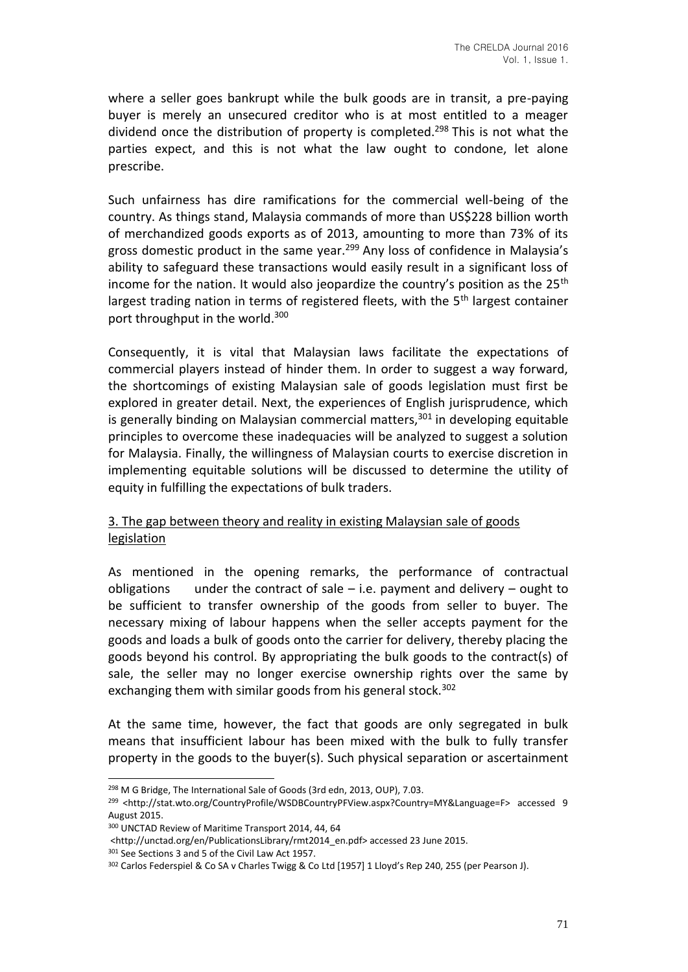where a seller goes bankrupt while the bulk goods are in transit, a pre-paying buyer is merely an unsecured creditor who is at most entitled to a meager dividend once the distribution of property is completed.<sup>298</sup> This is not what the parties expect, and this is not what the law ought to condone, let alone prescribe.

Such unfairness has dire ramifications for the commercial well-being of the country. As things stand, Malaysia commands of more than US\$228 billion worth of merchandized goods exports as of 2013, amounting to more than 73% of its gross domestic product in the same year.<sup>299</sup> Any loss of confidence in Malaysia's ability to safeguard these transactions would easily result in a significant loss of income for the nation. It would also jeopardize the country's position as the  $25<sup>th</sup>$ largest trading nation in terms of registered fleets, with the 5<sup>th</sup> largest container port throughput in the world.<sup>300</sup>

Consequently, it is vital that Malaysian laws facilitate the expectations of commercial players instead of hinder them. In order to suggest a way forward, the shortcomings of existing Malaysian sale of goods legislation must first be explored in greater detail. Next, the experiences of English jurisprudence, which is generally binding on Malaysian commercial matters, $301$  in developing equitable principles to overcome these inadequacies will be analyzed to suggest a solution for Malaysia. Finally, the willingness of Malaysian courts to exercise discretion in implementing equitable solutions will be discussed to determine the utility of equity in fulfilling the expectations of bulk traders.

# 3. The gap between theory and reality in existing Malaysian sale of goods legislation

As mentioned in the opening remarks, the performance of contractual obligations under the contract of sale  $-$  i.e. payment and delivery  $-$  ought to be sufficient to transfer ownership of the goods from seller to buyer. The necessary mixing of labour happens when the seller accepts payment for the goods and loads a bulk of goods onto the carrier for delivery, thereby placing the goods beyond his control. By appropriating the bulk goods to the contract(s) of sale, the seller may no longer exercise ownership rights over the same by exchanging them with similar goods from his general stock.<sup>302</sup>

At the same time, however, the fact that goods are only segregated in bulk means that insufficient labour has been mixed with the bulk to fully transfer property in the goods to the buyer(s). Such physical separation or ascertainment

<sup>298</sup> M G Bridge, The International Sale of Goods (3rd edn, 2013, OUP), 7.03.

<sup>299</sup> <http://stat.wto.org/CountryProfile/WSDBCountryPFView.aspx?Country=MY&Language=F> accessed 9 August 2015.

<sup>300</sup> UNCTAD Review of Maritime Transport 2014, 44, 64

<sup>&</sup>lt;http://unctad.org/en/PublicationsLibrary/rmt2014\_en.pdf> accessed 23 June 2015.

<sup>301</sup> See Sections 3 and 5 of the Civil Law Act 1957.

<sup>302</sup> Carlos Federspiel & Co SA v Charles Twigg & Co Ltd [1957] 1 Lloyd's Rep 240, 255 (per Pearson J).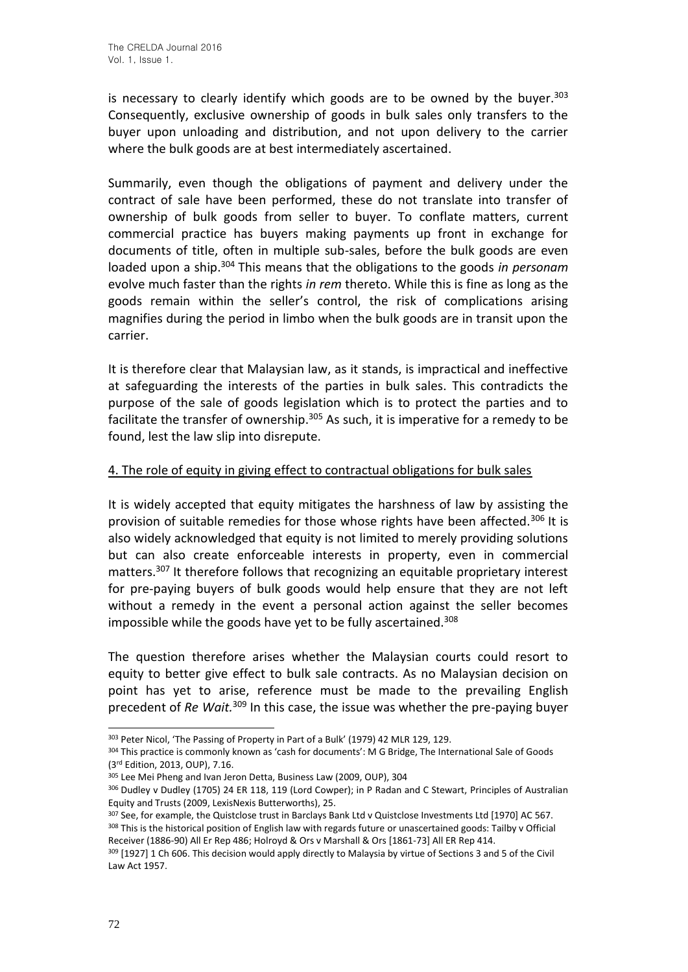is necessary to clearly identify which goods are to be owned by the buyer.<sup>303</sup> Consequently, exclusive ownership of goods in bulk sales only transfers to the buyer upon unloading and distribution, and not upon delivery to the carrier where the bulk goods are at best intermediately ascertained.

Summarily, even though the obligations of payment and delivery under the contract of sale have been performed, these do not translate into transfer of ownership of bulk goods from seller to buyer. To conflate matters, current commercial practice has buyers making payments up front in exchange for documents of title, often in multiple sub-sales, before the bulk goods are even loaded upon a ship.<sup>304</sup> This means that the obligations to the goods *in personam* evolve much faster than the rights *in rem* thereto. While this is fine as long as the goods remain within the seller's control, the risk of complications arising magnifies during the period in limbo when the bulk goods are in transit upon the carrier.

It is therefore clear that Malaysian law, as it stands, is impractical and ineffective at safeguarding the interests of the parties in bulk sales. This contradicts the purpose of the sale of goods legislation which is to protect the parties and to facilitate the transfer of ownership.<sup>305</sup> As such, it is imperative for a remedy to be found, lest the law slip into disrepute.

## 4. The role of equity in giving effect to contractual obligations for bulk sales

It is widely accepted that equity mitigates the harshness of law by assisting the provision of suitable remedies for those whose rights have been affected.<sup>306</sup> It is also widely acknowledged that equity is not limited to merely providing solutions but can also create enforceable interests in property, even in commercial matters.<sup>307</sup> It therefore follows that recognizing an equitable proprietary interest for pre-paying buyers of bulk goods would help ensure that they are not left without a remedy in the event a personal action against the seller becomes impossible while the goods have yet to be fully ascertained.<sup>308</sup>

The question therefore arises whether the Malaysian courts could resort to equity to better give effect to bulk sale contracts. As no Malaysian decision on point has yet to arise, reference must be made to the prevailing English precedent of *Re Wait.*<sup>309</sup> In this case, the issue was whether the pre-paying buyer

<sup>303</sup> Peter Nicol, 'The Passing of Property in Part of a Bulk' (1979) 42 MLR 129, 129.

<sup>304</sup> This practice is commonly known as 'cash for documents': M G Bridge, The International Sale of Goods (3rd Edition, 2013, OUP), 7.16.

<sup>305</sup> Lee Mei Pheng and Ivan Jeron Detta, Business Law (2009, OUP), 304

<sup>306</sup> Dudley v Dudley (1705) 24 ER 118, 119 (Lord Cowper); in P Radan and C Stewart, Principles of Australian Equity and Trusts (2009, LexisNexis Butterworths), 25.

<sup>&</sup>lt;sup>307</sup> See, for example, the Quistclose trust in Barclays Bank Ltd v Quistclose Investments Ltd [1970] AC 567. 308 This is the historical position of English law with regards future or unascertained goods: Tailby v Official Receiver (1886-90) All Er Rep 486; Holroyd & Ors v Marshall & Ors [1861-73] All ER Rep 414.

<sup>309 [1927] 1</sup> Ch 606. This decision would apply directly to Malaysia by virtue of Sections 3 and 5 of the Civil Law Act 1957.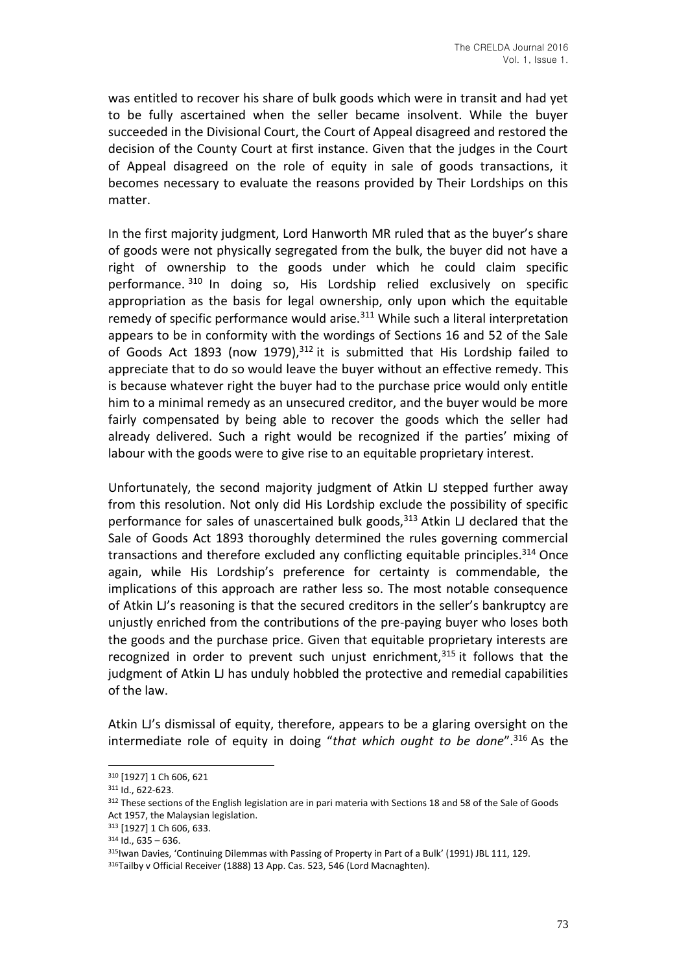was entitled to recover his share of bulk goods which were in transit and had yet to be fully ascertained when the seller became insolvent. While the buyer succeeded in the Divisional Court, the Court of Appeal disagreed and restored the decision of the County Court at first instance. Given that the judges in the Court of Appeal disagreed on the role of equity in sale of goods transactions, it becomes necessary to evaluate the reasons provided by Their Lordships on this matter.

In the first majority judgment, Lord Hanworth MR ruled that as the buyer's share of goods were not physically segregated from the bulk, the buyer did not have a right of ownership to the goods under which he could claim specific performance. <sup>310</sup> In doing so, His Lordship relied exclusively on specific appropriation as the basis for legal ownership, only upon which the equitable remedy of specific performance would arise.<sup>311</sup> While such a literal interpretation appears to be in conformity with the wordings of Sections 16 and 52 of the Sale of Goods Act 1893 (now 1979), $312$  it is submitted that His Lordship failed to appreciate that to do so would leave the buyer without an effective remedy. This is because whatever right the buyer had to the purchase price would only entitle him to a minimal remedy as an unsecured creditor, and the buyer would be more fairly compensated by being able to recover the goods which the seller had already delivered. Such a right would be recognized if the parties' mixing of labour with the goods were to give rise to an equitable proprietary interest.

Unfortunately, the second majority judgment of Atkin LJ stepped further away from this resolution. Not only did His Lordship exclude the possibility of specific performance for sales of unascertained bulk goods, $313$  Atkin LJ declared that the Sale of Goods Act 1893 thoroughly determined the rules governing commercial transactions and therefore excluded any conflicting equitable principles.<sup>314</sup> Once again, while His Lordship's preference for certainty is commendable, the implications of this approach are rather less so. The most notable consequence of Atkin LJ's reasoning is that the secured creditors in the seller's bankruptcy are unjustly enriched from the contributions of the pre-paying buyer who loses both the goods and the purchase price. Given that equitable proprietary interests are recognized in order to prevent such unjust enrichment, $315$  it follows that the judgment of Atkin LJ has unduly hobbled the protective and remedial capabilities of the law.

Atkin LJ's dismissal of equity, therefore, appears to be a glaring oversight on the intermediate role of equity in doing "*that which ought to be done*".<sup>316</sup> As the

<sup>310</sup> [1927] 1 Ch 606, 621

<sup>311</sup> Id., 622-623.

<sup>&</sup>lt;sup>312</sup> These sections of the English legislation are in pari materia with Sections 18 and 58 of the Sale of Goods Act 1957, the Malaysian legislation.

<sup>313</sup> [1927] 1 Ch 606, 633.

 $314$  Id., 635 – 636.

<sup>315</sup> Iwan Davies, 'Continuing Dilemmas with Passing of Property in Part of a Bulk' (1991) JBL 111, 129. 316Tailby v Official Receiver (1888) 13 App. Cas. 523, 546 (Lord Macnaghten).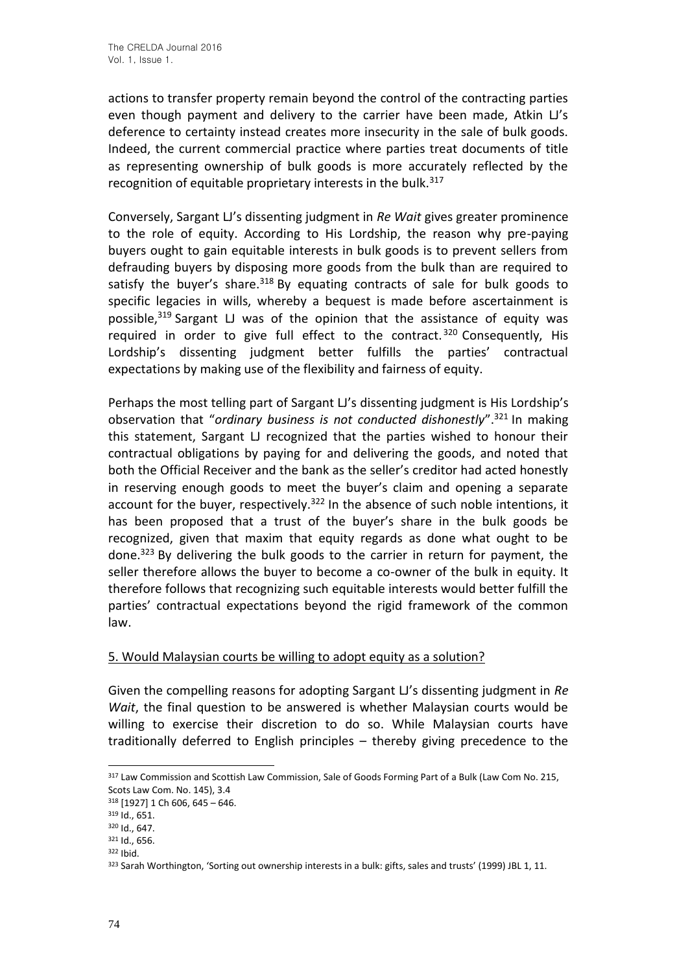actions to transfer property remain beyond the control of the contracting parties even though payment and delivery to the carrier have been made, Atkin LJ's deference to certainty instead creates more insecurity in the sale of bulk goods. Indeed, the current commercial practice where parties treat documents of title as representing ownership of bulk goods is more accurately reflected by the recognition of equitable proprietary interests in the bulk.<sup>317</sup>

Conversely, Sargant LJ's dissenting judgment in *Re Wait* gives greater prominence to the role of equity. According to His Lordship, the reason why pre-paying buyers ought to gain equitable interests in bulk goods is to prevent sellers from defrauding buyers by disposing more goods from the bulk than are required to satisfy the buyer's share.  $318$  By equating contracts of sale for bulk goods to specific legacies in wills, whereby a bequest is made before ascertainment is possible, $319$  Sargant LJ was of the opinion that the assistance of equity was required in order to give full effect to the contract.<sup>320</sup> Consequently, His Lordship's dissenting judgment better fulfills the parties' contractual expectations by making use of the flexibility and fairness of equity.

Perhaps the most telling part of Sargant LJ's dissenting judgment is His Lordship's observation that "*ordinary business is not conducted dishonestly*".<sup>321</sup> In making this statement, Sargant LJ recognized that the parties wished to honour their contractual obligations by paying for and delivering the goods, and noted that both the Official Receiver and the bank as the seller's creditor had acted honestly in reserving enough goods to meet the buyer's claim and opening a separate account for the buyer, respectively.<sup>322</sup> In the absence of such noble intentions, it has been proposed that a trust of the buyer's share in the bulk goods be recognized, given that maxim that equity regards as done what ought to be done.<sup>323</sup> By delivering the bulk goods to the carrier in return for payment, the seller therefore allows the buyer to become a co-owner of the bulk in equity. It therefore follows that recognizing such equitable interests would better fulfill the parties' contractual expectations beyond the rigid framework of the common law.

### 5. Would Malaysian courts be willing to adopt equity as a solution?

Given the compelling reasons for adopting Sargant LJ's dissenting judgment in *Re Wait*, the final question to be answered is whether Malaysian courts would be willing to exercise their discretion to do so. While Malaysian courts have traditionally deferred to English principles – thereby giving precedence to the

<sup>&</sup>lt;sup>317</sup> Law Commission and Scottish Law Commission, Sale of Goods Forming Part of a Bulk (Law Com No. 215, Scots Law Com. No. 145), 3.4

<sup>318</sup> [1927] 1 Ch 606, 645 – 646.

<sup>319</sup> Id., 651.

<sup>320</sup> Id., 647.

<sup>321</sup> Id., 656.

<sup>322</sup> Ibid.

<sup>323</sup> Sarah Worthington, 'Sorting out ownership interests in a bulk: gifts, sales and trusts' (1999) JBL 1, 11.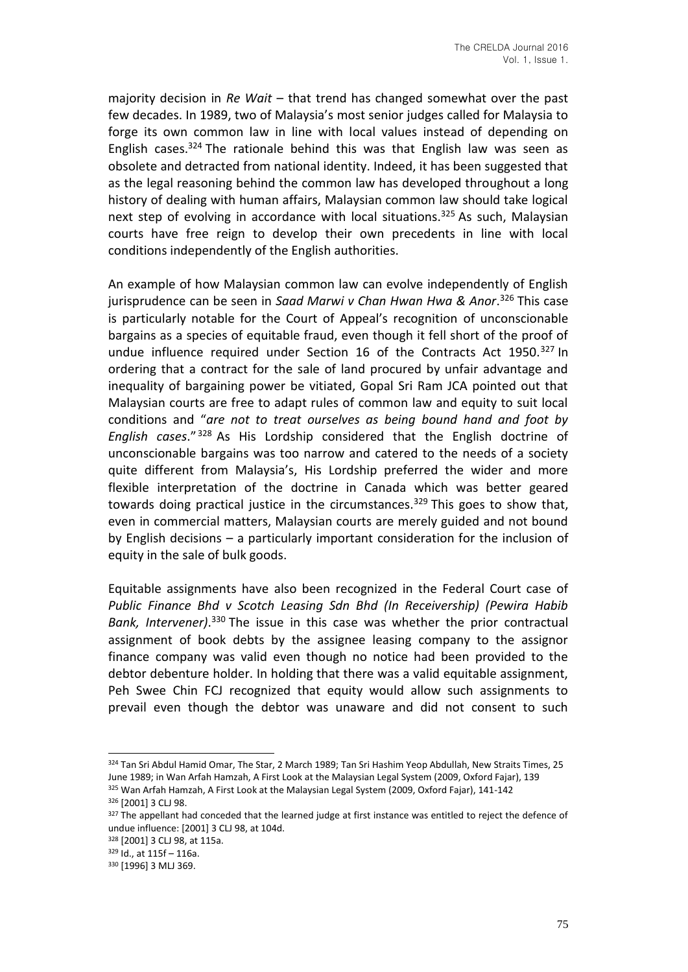majority decision in *Re Wait* – that trend has changed somewhat over the past few decades. In 1989, two of Malaysia's most senior judges called for Malaysia to forge its own common law in line with local values instead of depending on English cases.<sup>324</sup> The rationale behind this was that English law was seen as obsolete and detracted from national identity. Indeed, it has been suggested that as the legal reasoning behind the common law has developed throughout a long history of dealing with human affairs, Malaysian common law should take logical next step of evolving in accordance with local situations.<sup>325</sup> As such, Malaysian courts have free reign to develop their own precedents in line with local conditions independently of the English authorities.

An example of how Malaysian common law can evolve independently of English jurisprudence can be seen in *Saad Marwi v Chan Hwan Hwa & Anor*. <sup>326</sup> This case is particularly notable for the Court of Appeal's recognition of unconscionable bargains as a species of equitable fraud, even though it fell short of the proof of undue influence required under Section 16 of the Contracts Act 1950.<sup>327</sup> In ordering that a contract for the sale of land procured by unfair advantage and inequality of bargaining power be vitiated, Gopal Sri Ram JCA pointed out that Malaysian courts are free to adapt rules of common law and equity to suit local conditions and "*are not to treat ourselves as being bound hand and foot by English cases*." <sup>328</sup> As His Lordship considered that the English doctrine of unconscionable bargains was too narrow and catered to the needs of a society quite different from Malaysia's, His Lordship preferred the wider and more flexible interpretation of the doctrine in Canada which was better geared towards doing practical justice in the circumstances.<sup>329</sup> This goes to show that, even in commercial matters, Malaysian courts are merely guided and not bound by English decisions – a particularly important consideration for the inclusion of equity in the sale of bulk goods.

Equitable assignments have also been recognized in the Federal Court case of *Public Finance Bhd v Scotch Leasing Sdn Bhd (In Receivership) (Pewira Habib Bank, Intervener)*. <sup>330</sup> The issue in this case was whether the prior contractual assignment of book debts by the assignee leasing company to the assignor finance company was valid even though no notice had been provided to the debtor debenture holder. In holding that there was a valid equitable assignment, Peh Swee Chin FCJ recognized that equity would allow such assignments to prevail even though the debtor was unaware and did not consent to such

<sup>324</sup> Tan Sri Abdul Hamid Omar, The Star, 2 March 1989; Tan Sri Hashim Yeop Abdullah, New Straits Times, 25 June 1989; in Wan Arfah Hamzah, A First Look at the Malaysian Legal System (2009, Oxford Fajar), 139 <sup>325</sup> Wan Arfah Hamzah, A First Look at the Malaysian Legal System (2009, Oxford Fajar), 141-142

<sup>326</sup> [2001] 3 CLJ 98.

<sup>327</sup> The appellant had conceded that the learned judge at first instance was entitled to reject the defence of undue influence: [2001] 3 CLJ 98, at 104d.

<sup>328</sup> [2001] 3 CLJ 98, at 115a.

<sup>329</sup> Id., at 115f – 116a.

<sup>330</sup> [1996] 3 MLJ 369.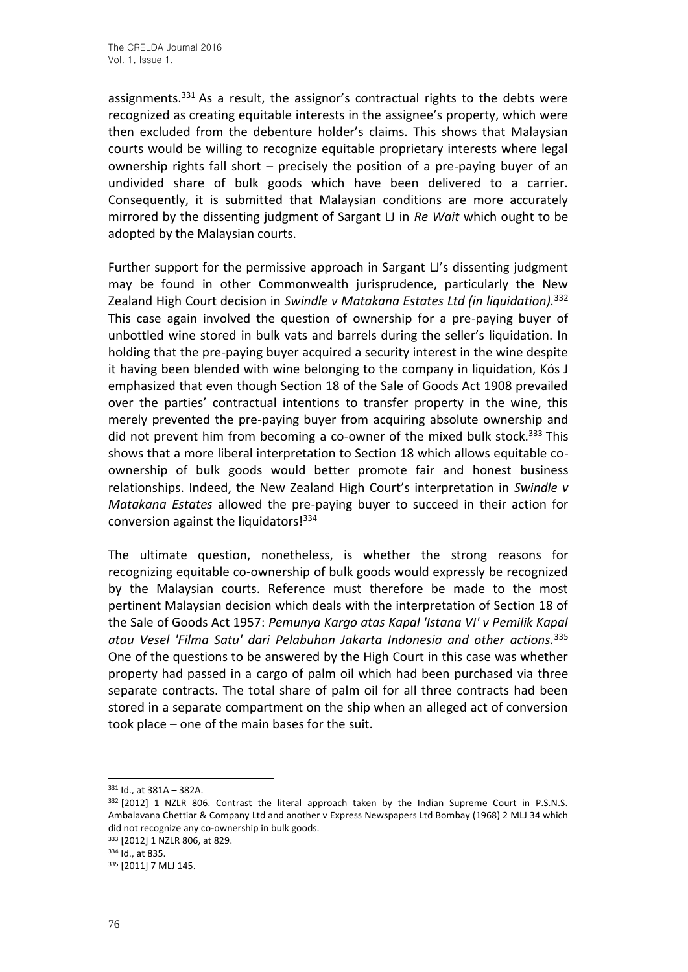assignments.<sup>331</sup> As a result, the assignor's contractual rights to the debts were recognized as creating equitable interests in the assignee's property, which were then excluded from the debenture holder's claims. This shows that Malaysian courts would be willing to recognize equitable proprietary interests where legal ownership rights fall short – precisely the position of a pre-paying buyer of an undivided share of bulk goods which have been delivered to a carrier. Consequently, it is submitted that Malaysian conditions are more accurately mirrored by the dissenting judgment of Sargant LJ in *Re Wait* which ought to be adopted by the Malaysian courts.

Further support for the permissive approach in Sargant LI's dissenting judgment may be found in other Commonwealth jurisprudence, particularly the New Zealand High Court decision in *Swindle v Matakana Estates Ltd (in liquidation).*<sup>332</sup> This case again involved the question of ownership for a pre-paying buyer of unbottled wine stored in bulk vats and barrels during the seller's liquidation. In holding that the pre-paying buyer acquired a security interest in the wine despite it having been blended with wine belonging to the company in liquidation, Kós J emphasized that even though Section 18 of the Sale of Goods Act 1908 prevailed over the parties' contractual intentions to transfer property in the wine, this merely prevented the pre-paying buyer from acquiring absolute ownership and did not prevent him from becoming a co-owner of the mixed bulk stock.<sup>333</sup> This shows that a more liberal interpretation to Section 18 which allows equitable coownership of bulk goods would better promote fair and honest business relationships. Indeed, the New Zealand High Court's interpretation in *Swindle v Matakana Estates* allowed the pre-paying buyer to succeed in their action for conversion against the liquidators!<sup>334</sup>

The ultimate question, nonetheless, is whether the strong reasons for recognizing equitable co-ownership of bulk goods would expressly be recognized by the Malaysian courts. Reference must therefore be made to the most pertinent Malaysian decision which deals with the interpretation of Section 18 of the Sale of Goods Act 1957: *Pemunya Kargo atas Kapal 'Istana VI' v Pemilik Kapal atau Vesel 'Filma Satu' dari Pelabuhan Jakarta Indonesia and other actions.*<sup>335</sup> One of the questions to be answered by the High Court in this case was whether property had passed in a cargo of palm oil which had been purchased via three separate contracts. The total share of palm oil for all three contracts had been stored in a separate compartment on the ship when an alleged act of conversion took place – one of the main bases for the suit.

<sup>331</sup> Id., at 381A – 382A.

<sup>332 [2012] 1</sup> NZLR 806. Contrast the literal approach taken by the Indian Supreme Court in P.S.N.S. Ambalavana Chettiar & Company Ltd and another v Express Newspapers Ltd Bombay (1968) 2 MLJ 34 which did not recognize any co-ownership in bulk goods.

<sup>333</sup> [2012] 1 NZLR 806, at 829.

<sup>334</sup> Id., at 835.

<sup>335</sup> [2011] 7 MLJ 145.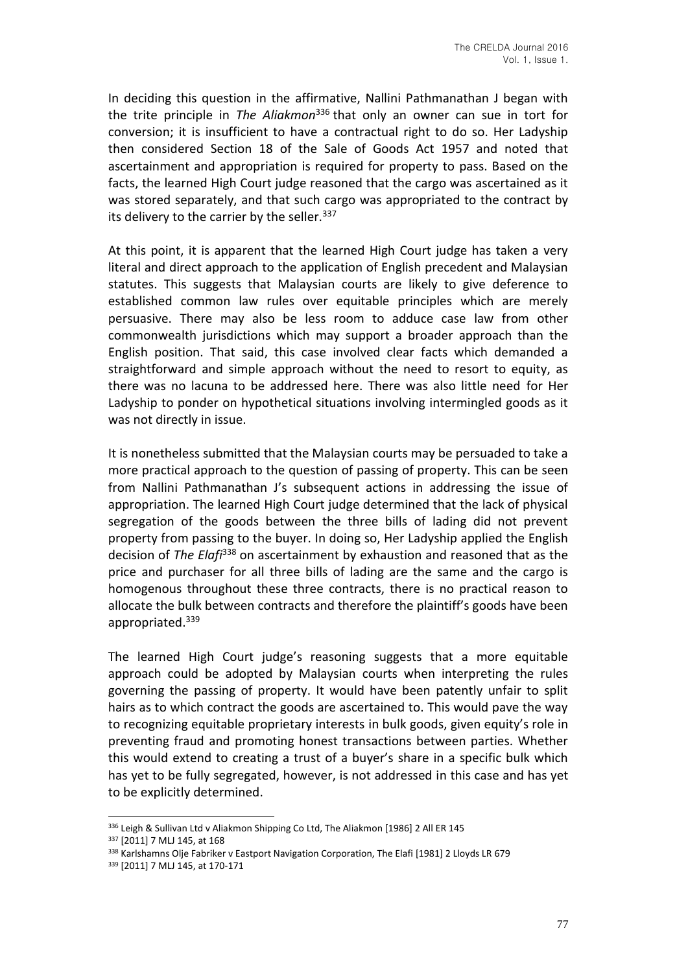In deciding this question in the affirmative, Nallini Pathmanathan J began with the trite principle in *The Aliakmon*<sup>336</sup> that only an owner can sue in tort for conversion; it is insufficient to have a contractual right to do so. Her Ladyship then considered Section 18 of the Sale of Goods Act 1957 and noted that ascertainment and appropriation is required for property to pass. Based on the facts, the learned High Court judge reasoned that the cargo was ascertained as it was stored separately, and that such cargo was appropriated to the contract by its delivery to the carrier by the seller.  $337$ 

At this point, it is apparent that the learned High Court judge has taken a very literal and direct approach to the application of English precedent and Malaysian statutes. This suggests that Malaysian courts are likely to give deference to established common law rules over equitable principles which are merely persuasive. There may also be less room to adduce case law from other commonwealth jurisdictions which may support a broader approach than the English position. That said, this case involved clear facts which demanded a straightforward and simple approach without the need to resort to equity, as there was no lacuna to be addressed here. There was also little need for Her Ladyship to ponder on hypothetical situations involving intermingled goods as it was not directly in issue.

It is nonetheless submitted that the Malaysian courts may be persuaded to take a more practical approach to the question of passing of property. This can be seen from Nallini Pathmanathan J's subsequent actions in addressing the issue of appropriation. The learned High Court judge determined that the lack of physical segregation of the goods between the three bills of lading did not prevent property from passing to the buyer. In doing so, Her Ladyship applied the English decision of *The Elafi*<sup>338</sup> on ascertainment by exhaustion and reasoned that as the price and purchaser for all three bills of lading are the same and the cargo is homogenous throughout these three contracts, there is no practical reason to allocate the bulk between contracts and therefore the plaintiff's goods have been appropriated.<sup>339</sup>

The learned High Court judge's reasoning suggests that a more equitable approach could be adopted by Malaysian courts when interpreting the rules governing the passing of property. It would have been patently unfair to split hairs as to which contract the goods are ascertained to. This would pave the way to recognizing equitable proprietary interests in bulk goods, given equity's role in preventing fraud and promoting honest transactions between parties. Whether this would extend to creating a trust of a buyer's share in a specific bulk which has yet to be fully segregated, however, is not addressed in this case and has yet to be explicitly determined.

<sup>336</sup> Leigh & Sullivan Ltd v Aliakmon Shipping Co Ltd, The Aliakmon [1986] 2 All ER 145

<sup>337</sup> [2011] 7 MLJ 145, at 168

<sup>338</sup> Karlshamns Olje Fabriker v Eastport Navigation Corporation, The Elafi [1981] 2 Lloyds LR 679

<sup>339</sup> [2011] 7 MLJ 145, at 170-171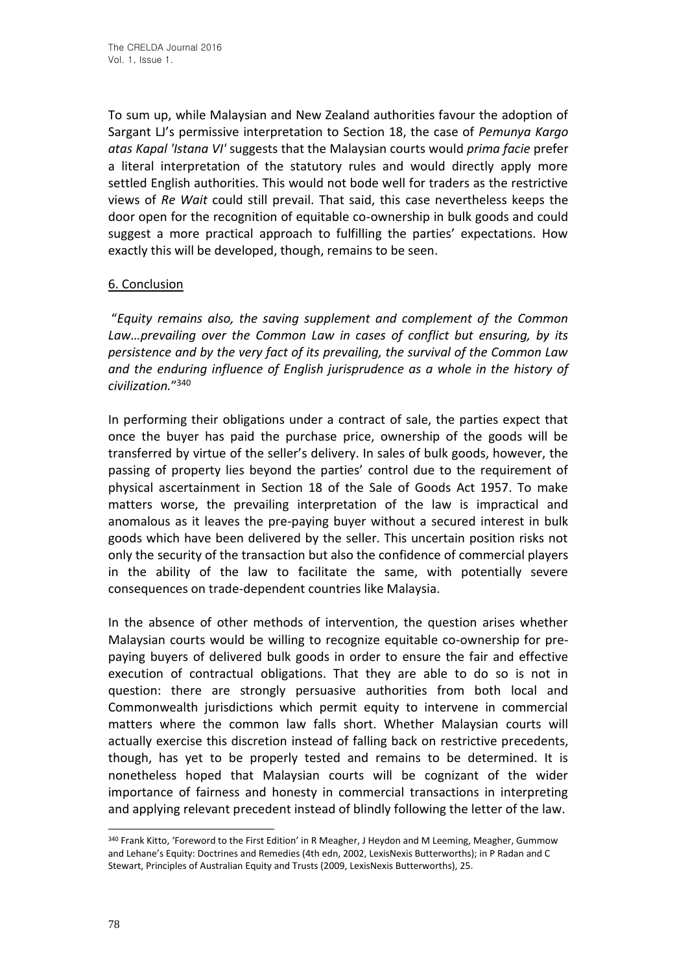To sum up, while Malaysian and New Zealand authorities favour the adoption of Sargant LJ's permissive interpretation to Section 18, the case of *Pemunya Kargo atas Kapal 'Istana VI'* suggests that the Malaysian courts would *prima facie* prefer a literal interpretation of the statutory rules and would directly apply more settled English authorities. This would not bode well for traders as the restrictive views of *Re Wait* could still prevail. That said, this case nevertheless keeps the door open for the recognition of equitable co-ownership in bulk goods and could suggest a more practical approach to fulfilling the parties' expectations. How exactly this will be developed, though, remains to be seen.

## 6. Conclusion

"*Equity remains also, the saving supplement and complement of the Common Law…prevailing over the Common Law in cases of conflict but ensuring, by its persistence and by the very fact of its prevailing, the survival of the Common Law and the enduring influence of English jurisprudence as a whole in the history of civilization.*" 340

In performing their obligations under a contract of sale, the parties expect that once the buyer has paid the purchase price, ownership of the goods will be transferred by virtue of the seller's delivery. In sales of bulk goods, however, the passing of property lies beyond the parties' control due to the requirement of physical ascertainment in Section 18 of the Sale of Goods Act 1957. To make matters worse, the prevailing interpretation of the law is impractical and anomalous as it leaves the pre-paying buyer without a secured interest in bulk goods which have been delivered by the seller. This uncertain position risks not only the security of the transaction but also the confidence of commercial players in the ability of the law to facilitate the same, with potentially severe consequences on trade-dependent countries like Malaysia.

In the absence of other methods of intervention, the question arises whether Malaysian courts would be willing to recognize equitable co-ownership for prepaying buyers of delivered bulk goods in order to ensure the fair and effective execution of contractual obligations. That they are able to do so is not in question: there are strongly persuasive authorities from both local and Commonwealth jurisdictions which permit equity to intervene in commercial matters where the common law falls short. Whether Malaysian courts will actually exercise this discretion instead of falling back on restrictive precedents, though, has yet to be properly tested and remains to be determined. It is nonetheless hoped that Malaysian courts will be cognizant of the wider importance of fairness and honesty in commercial transactions in interpreting and applying relevant precedent instead of blindly following the letter of the law.

<sup>&</sup>lt;sup>340</sup> Frank Kitto, 'Foreword to the First Edition' in R Meagher, J Heydon and M Leeming, Meagher, Gummow and Lehane's Equity: Doctrines and Remedies (4th edn, 2002, LexisNexis Butterworths); in P Radan and C Stewart, Principles of Australian Equity and Trusts (2009, LexisNexis Butterworths), 25.